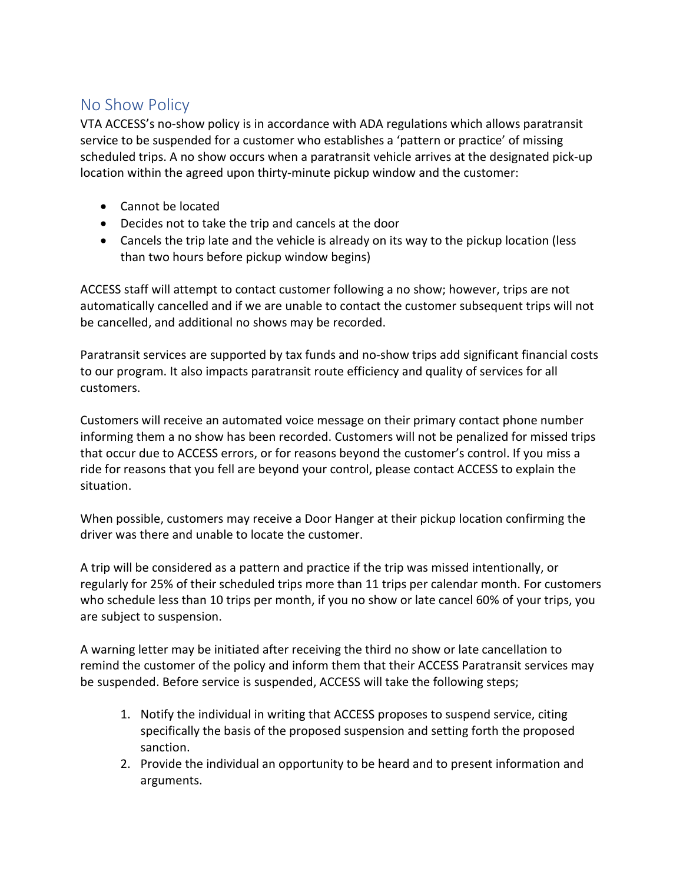## No Show Policy

VTA ACCESS's no-show policy is in accordance with ADA regulations which allows paratransit service to be suspended for a customer who establishes a 'pattern or practice' of missing scheduled trips. A no show occurs when a paratransit vehicle arrives at the designated pick-up location within the agreed upon thirty-minute pickup window and the customer:

- Cannot be located
- Decides not to take the trip and cancels at the door
- Cancels the trip late and the vehicle is already on its way to the pickup location (less than two hours before pickup window begins)

ACCESS staff will attempt to contact customer following a no show; however, trips are not automatically cancelled and if we are unable to contact the customer subsequent trips will not be cancelled, and additional no shows may be recorded.

Paratransit services are supported by tax funds and no-show trips add significant financial costs to our program. It also impacts paratransit route efficiency and quality of services for all customers.

Customers will receive an automated voice message on their primary contact phone number informing them a no show has been recorded. Customers will not be penalized for missed trips that occur due to ACCESS errors, or for reasons beyond the customer's control. If you miss a ride for reasons that you fell are beyond your control, please contact ACCESS to explain the situation.

When possible, customers may receive a Door Hanger at their pickup location confirming the driver was there and unable to locate the customer.

A trip will be considered as a pattern and practice if the trip was missed intentionally, or regularly for 25% of their scheduled trips more than 11 trips per calendar month. For customers who schedule less than 10 trips per month, if you no show or late cancel 60% of your trips, you are subject to suspension.

A warning letter may be initiated after receiving the third no show or late cancellation to remind the customer of the policy and inform them that their ACCESS Paratransit services may be suspended. Before service is suspended, ACCESS will take the following steps;

- 1. Notify the individual in writing that ACCESS proposes to suspend service, citing specifically the basis of the proposed suspension and setting forth the proposed sanction.
- 2. Provide the individual an opportunity to be heard and to present information and arguments.